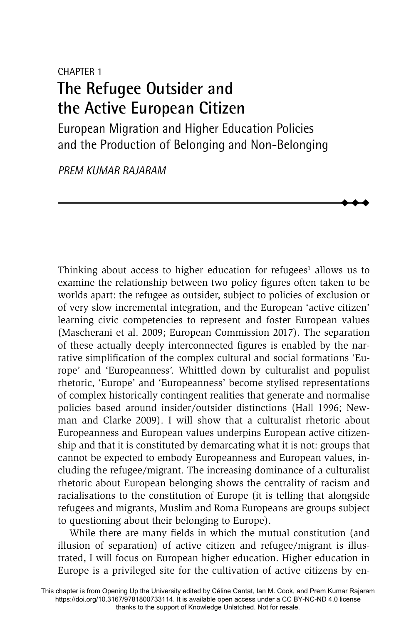# CHAPTER 1 **The Refugee Outsider and the Active European Citizen**

European Migration and Higher Education Policies and the Production of Belonging and Non-Belonging

> $\blacklozenge$  $\blacklozenge$  $\blacklozenge$

*PREM KUMAR RAJARAM*

Thinking about access to higher education for refugees<sup>1</sup> allows us to examine the relationship between two policy figures often taken to be worlds apart: the refugee as outsider, subject to policies of exclusion or of very slow incremental integration, and the European 'active citizen' learning civic competencies to represent and foster European values (Mascherani et al. 2009; European Commission 2017). The separation of these actually deeply interconnected figures is enabled by the narrative simplification of the complex cultural and social formations 'Europe' and 'Europeanness'. Whittled down by culturalist and populist rhetoric, 'Europe' and 'Europeanness' become stylised representations of complex historically contingent realities that generate and normalise policies based around insider/outsider distinctions (Hall 1996; Newman and Clarke 2009). I will show that a culturalist rhetoric about Europeanness and European values underpins European active citizenship and that it is constituted by demarcating what it is not: groups that cannot be expected to embody Europeanness and European values, including the refugee/migrant. The increasing dominance of a culturalist rhetoric about European belonging shows the centrality of racism and racialisations to the constitution of Europe (it is telling that alongside refugees and migrants, Muslim and Roma Europeans are groups subject to questioning about their belonging to Europe).

While there are many fields in which the mutual constitution (and illusion of separation) of active citizen and refugee/migrant is illustrated, I will focus on European higher education. Higher education in Europe is a privileged site for the cultivation of active citizens by en-

This chapter is from Opening Up the University edited by Céline Cantat, Ian M. Cook, and Prem Kumar Rajaram https://doi.org/10.3167/9781800733114. It is available open access under a CC BY-NC-ND 4.0 license thanks to the support of Knowledge Unlatched. Not for resale.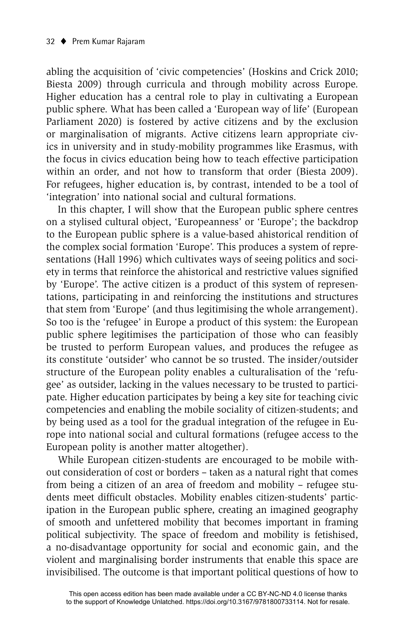abling the acquisition of 'civic competencies' (Hoskins and Crick 2010; Biesta 2009) through curricula and through mobility across Europe. Higher education has a central role to play in cultivating a European public sphere. What has been called a 'European way of life' (European Parliament 2020) is fostered by active citizens and by the exclusion or marginalisation of migrants. Active citizens learn appropriate civics in university and in study-mobility programmes like Erasmus, with the focus in civics education being how to teach effective participation within an order, and not how to transform that order (Biesta 2009). For refugees, higher education is, by contrast, intended to be a tool of 'integration' into national social and cultural formations.

In this chapter, I will show that the European public sphere centres on a stylised cultural object, 'Europeanness' or 'Europe'; the backdrop to the European public sphere is a value-based ahistorical rendition of the complex social formation 'Europe'. This produces a system of representations (Hall 1996) which cultivates ways of seeing politics and society in terms that reinforce the ahistorical and restrictive values signified by 'Europe'. The active citizen is a product of this system of representations, participating in and reinforcing the institutions and structures that stem from 'Europe' (and thus legitimising the whole arrangement). So too is the 'refugee' in Europe a product of this system: the European public sphere legitimises the participation of those who can feasibly be trusted to perform European values, and produces the refugee as its constitute 'outsider' who cannot be so trusted. The insider/outsider structure of the European polity enables a culturalisation of the 'refugee' as outsider, lacking in the values necessary to be trusted to participate. Higher education participates by being a key site for teaching civic competencies and enabling the mobile sociality of citizen-students; and by being used as a tool for the gradual integration of the refugee in Europe into national social and cultural formations (refugee access to the European polity is another matter altogether).

While European citizen-students are encouraged to be mobile without consideration of cost or borders – taken as a natural right that comes from being a citizen of an area of freedom and mobility – refugee students meet difficult obstacles. Mobility enables citizen-students' participation in the European public sphere, creating an imagined geography of smooth and unfettered mobility that becomes important in framing political subjectivity. The space of freedom and mobility is fetishised, a no-disadvantage opportunity for social and economic gain, and the violent and marginalising border instruments that enable this space are invisibilised. The outcome is that important political questions of how to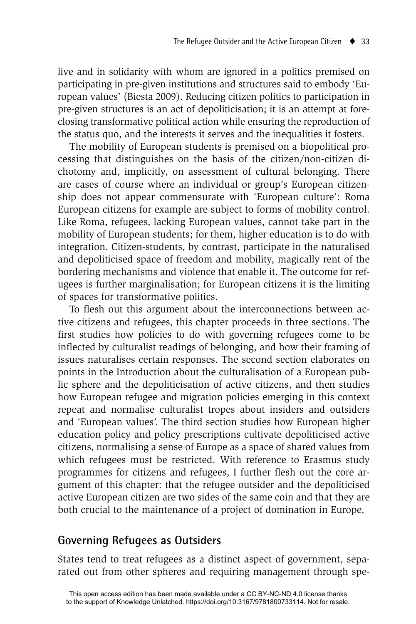live and in solidarity with whom are ignored in a politics premised on participating in pre-given institutions and structures said to embody 'European values' (Biesta 2009). Reducing citizen politics to participation in pre-given structures is an act of depoliticisation; it is an attempt at foreclosing transformative political action while ensuring the reproduction of the status quo, and the interests it serves and the inequalities it fosters.

The mobility of European students is premised on a biopolitical processing that distinguishes on the basis of the citizen/non-citizen dichotomy and, implicitly, on assessment of cultural belonging. There are cases of course where an individual or group's European citizenship does not appear commensurate with 'European culture': Roma European citizens for example are subject to forms of mobility control. Like Roma, refugees, lacking European values, cannot take part in the mobility of European students; for them, higher education is to do with integration. Citizen-students, by contrast, participate in the naturalised and depoliticised space of freedom and mobility, magically rent of the bordering mechanisms and violence that enable it. The outcome for refugees is further marginalisation; for European citizens it is the limiting of spaces for transformative politics.

To flesh out this argument about the interconnections between active citizens and refugees, this chapter proceeds in three sections. The first studies how policies to do with governing refugees come to be inflected by culturalist readings of belonging, and how their framing of issues naturalises certain responses. The second section elaborates on points in the Introduction about the culturalisation of a European public sphere and the depoliticisation of active citizens, and then studies how European refugee and migration policies emerging in this context repeat and normalise culturalist tropes about insiders and outsiders and 'European values'. The third section studies how European higher education policy and policy prescriptions cultivate depoliticised active citizens, normalising a sense of Europe as a space of shared values from which refugees must be restricted. With reference to Erasmus study programmes for citizens and refugees, I further flesh out the core argument of this chapter: that the refugee outsider and the depoliticised active European citizen are two sides of the same coin and that they are both crucial to the maintenance of a project of domination in Europe.

## **Governing Refugees as Outsiders**

States tend to treat refugees as a distinct aspect of government, separated out from other spheres and requiring management through spe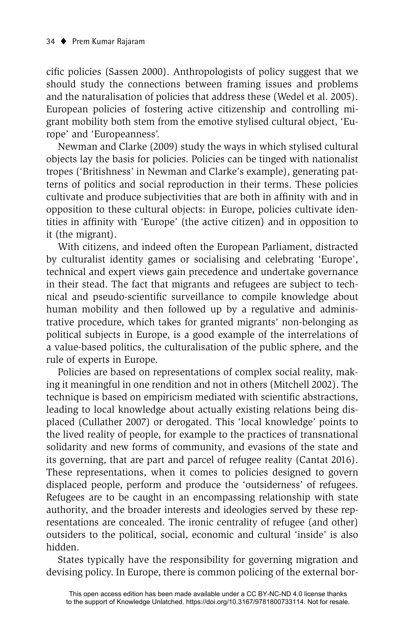cific policies (Sassen 2000). Anthropologists of policy suggest that we should study the connections between framing issues and problems and the naturalisation of policies that address these (Wedel et al. 2005). European policies of fostering active citizenship and controlling migrant mobility both stem from the emotive stylised cultural object, 'Europe' and 'Europeanness'.

Newman and Clarke (2009) study the ways in which stylised cultural objects lay the basis for policies. Policies can be tinged with nationalist tropes ('Britishness' in Newman and Clarke's example), generating patterns of politics and social reproduction in their terms. These policies cultivate and produce subjectivities that are both in affinity with and in opposition to these cultural objects: in Europe, policies cultivate identities in affinity with 'Europe' (the active citizen) and in opposition to it (the migrant).

With citizens, and indeed often the European Parliament, distracted by culturalist identity games or socialising and celebrating 'Europe', technical and expert views gain precedence and undertake governance in their stead. The fact that migrants and refugees are subject to technical and pseudo-scientific surveillance to compile knowledge about human mobility and then followed up by a regulative and administrative procedure, which takes for granted migrants' non-belonging as political subjects in Europe, is a good example of the interrelations of a value-based politics, the culturalisation of the public sphere, and the rule of experts in Europe.

Policies are based on representations of complex social reality, making it meaningful in one rendition and not in others (Mitchell 2002). The technique is based on empiricism mediated with scientific abstractions, leading to local knowledge about actually existing relations being displaced (Cullather 2007) or derogated. This 'local knowledge' points to the lived reality of people, for example to the practices of transnational solidarity and new forms of community, and evasions of the state and its governing, that are part and parcel of refugee reality (Cantat 2016). These representations, when it comes to policies designed to govern displaced people, perform and produce the 'outsiderness' of refugees. Refugees are to be caught in an encompassing relationship with state authority, and the broader interests and ideologies served by these representations are concealed. The ironic centrality of refugee (and other) outsiders to the political, social, economic and cultural 'inside' is also hidden.

States typically have the responsibility for governing migration and devising policy. In Europe, there is common policing of the external bor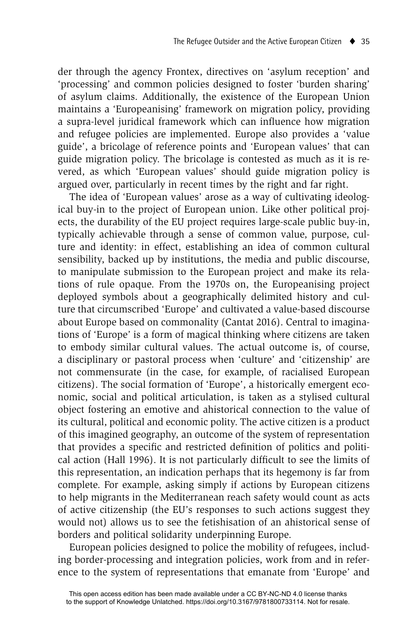der through the agency Frontex, directives on 'asylum reception' and 'processing' and common policies designed to foster 'burden sharing' of asylum claims. Additionally, the existence of the European Union maintains a 'Europeanising' framework on migration policy, providing a supra-level juridical framework which can influence how migration and refugee policies are implemented. Europe also provides a 'value guide', a bricolage of reference points and 'European values' that can guide migration policy. The bricolage is contested as much as it is revered, as which 'European values' should guide migration policy is argued over, particularly in recent times by the right and far right.

The idea of 'European values' arose as a way of cultivating ideological buy-in to the project of European union. Like other political projects, the durability of the EU project requires large-scale public buy-in, typically achievable through a sense of common value, purpose, culture and identity: in effect, establishing an idea of common cultural sensibility, backed up by institutions, the media and public discourse, to manipulate submission to the European project and make its relations of rule opaque. From the 1970s on, the Europeanising project deployed symbols about a geographically delimited history and culture that circumscribed 'Europe' and cultivated a value-based discourse about Europe based on commonality (Cantat 2016). Central to imaginations of 'Europe' is a form of magical thinking where citizens are taken to embody similar cultural values. The actual outcome is, of course, a disciplinary or pastoral process when 'culture' and 'citizenship' are not commensurate (in the case, for example, of racialised European citizens). The social formation of 'Europe', a historically emergent economic, social and political articulation, is taken as a stylised cultural object fostering an emotive and ahistorical connection to the value of its cultural, political and economic polity. The active citizen is a product of this imagined geography, an outcome of the system of representation that provides a specific and restricted definition of politics and political action (Hall 1996). It is not particularly difficult to see the limits of this representation, an indication perhaps that its hegemony is far from complete. For example, asking simply if actions by European citizens to help migrants in the Mediterranean reach safety would count as acts of active citizenship (the EU's responses to such actions suggest they would not) allows us to see the fetishisation of an ahistorical sense of borders and political solidarity underpinning Europe.

European policies designed to police the mobility of refugees, including border-processing and integration policies, work from and in reference to the system of representations that emanate from 'Europe' and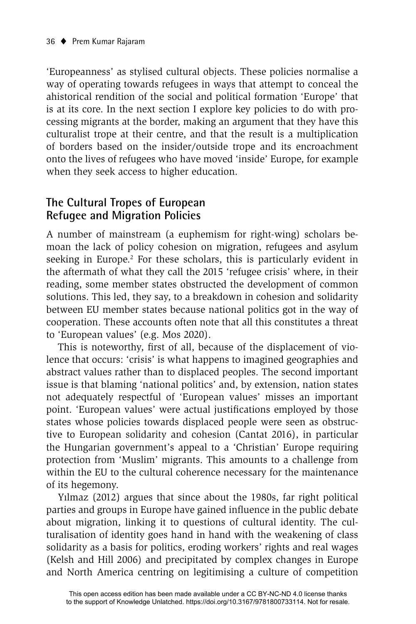'Europeanness' as stylised cultural objects. These policies normalise a way of operating towards refugees in ways that attempt to conceal the ahistorical rendition of the social and political formation 'Europe' that is at its core. In the next section I explore key policies to do with processing migrants at the border, making an argument that they have this culturalist trope at their centre, and that the result is a multiplication of borders based on the insider/outside trope and its encroachment onto the lives of refugees who have moved 'inside' Europe, for example when they seek access to higher education.

## **The Cultural Tropes of European Refugee and Migration Policies**

A number of mainstream (a euphemism for right-wing) scholars bemoan the lack of policy cohesion on migration, refugees and asylum seeking in Europe.<sup>2</sup> For these scholars, this is particularly evident in the aftermath of what they call the 2015 'refugee crisis' where, in their reading, some member states obstructed the development of common solutions. This led, they say, to a breakdown in cohesion and solidarity between EU member states because national politics got in the way of cooperation. These accounts often note that all this constitutes a threat to 'European values' (e.g. Mos 2020).

This is noteworthy, first of all, because of the displacement of violence that occurs: 'crisis' is what happens to imagined geographies and abstract values rather than to displaced peoples. The second important issue is that blaming 'national politics' and, by extension, nation states not adequately respectful of 'European values' misses an important point. 'European values' were actual justifications employed by those states whose policies towards displaced people were seen as obstructive to European solidarity and cohesion (Cantat 2016), in particular the Hungarian government's appeal to a 'Christian' Europe requiring protection from 'Muslim' migrants. This amounts to a challenge from within the EU to the cultural coherence necessary for the maintenance of its hegemony.

Yılmaz (2012) argues that since about the 1980s, far right political parties and groups in Europe have gained influence in the public debate about migration, linking it to questions of cultural identity. The culturalisation of identity goes hand in hand with the weakening of class solidarity as a basis for politics, eroding workers' rights and real wages (Kelsh and Hill 2006) and precipitated by complex changes in Europe and North America centring on legitimising a culture of competition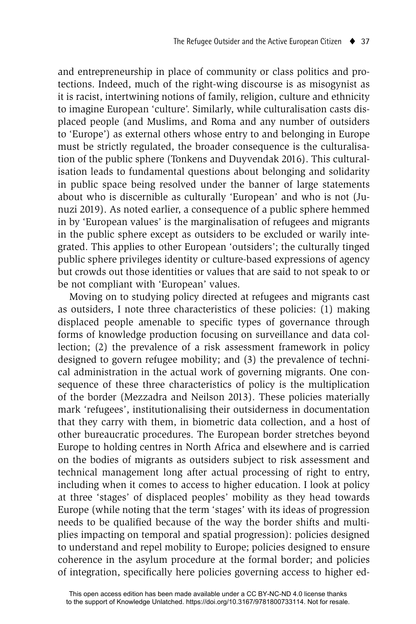and entrepreneurship in place of community or class politics and protections. Indeed, much of the right-wing discourse is as misogynist as it is racist, intertwining notions of family, religion, culture and ethnicity to imagine European 'culture'. Similarly, while culturalisation casts displaced people (and Muslims, and Roma and any number of outsiders to 'Europe') as external others whose entry to and belonging in Europe must be strictly regulated, the broader consequence is the culturalisation of the public sphere (Tonkens and Duyvendak 2016). This culturalisation leads to fundamental questions about belonging and solidarity in public space being resolved under the banner of large statements about who is discernible as culturally 'European' and who is not (Junuzi 2019). As noted earlier, a consequence of a public sphere hemmed in by 'European values' is the marginalisation of refugees and migrants in the public sphere except as outsiders to be excluded or warily integrated. This applies to other European 'outsiders'; the culturally tinged public sphere privileges identity or culture-based expressions of agency but crowds out those identities or values that are said to not speak to or be not compliant with 'European' values.

Moving on to studying policy directed at refugees and migrants cast as outsiders, I note three characteristics of these policies: (1) making displaced people amenable to specific types of governance through forms of knowledge production focusing on surveillance and data collection; (2) the prevalence of a risk assessment framework in policy designed to govern refugee mobility; and (3) the prevalence of technical administration in the actual work of governing migrants. One consequence of these three characteristics of policy is the multiplication of the border (Mezzadra and Neilson 2013). These policies materially mark 'refugees', institutionalising their outsiderness in documentation that they carry with them, in biometric data collection, and a host of other bureaucratic procedures. The European border stretches beyond Europe to holding centres in North Africa and elsewhere and is carried on the bodies of migrants as outsiders subject to risk assessment and technical management long after actual processing of right to entry, including when it comes to access to higher education. I look at policy at three 'stages' of displaced peoples' mobility as they head towards Europe (while noting that the term 'stages' with its ideas of progression needs to be qualified because of the way the border shifts and multiplies impacting on temporal and spatial progression): policies designed to understand and repel mobility to Europe; policies designed to ensure coherence in the asylum procedure at the formal border; and policies of integration, specifically here policies governing access to higher ed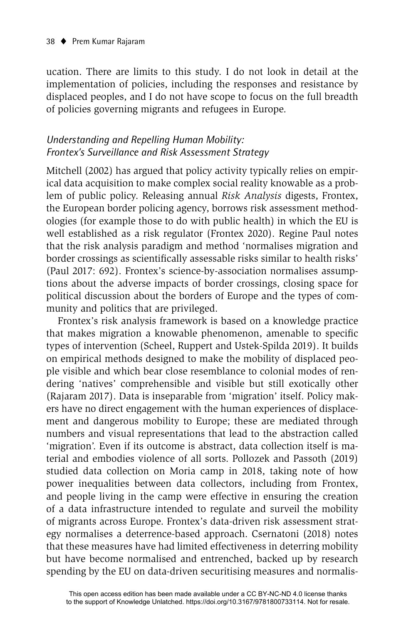ucation. There are limits to this study. I do not look in detail at the implementation of policies, including the responses and resistance by displaced peoples, and I do not have scope to focus on the full breadth of policies governing migrants and refugees in Europe.

## *Understanding and Repelling Human Mobility: Frontex's Surveillance and Risk Assessment Strategy*

Mitchell (2002) has argued that policy activity typically relies on empirical data acquisition to make complex social reality knowable as a problem of public policy. Releasing annual *Risk Analysis* digests, Frontex, the European border policing agency, borrows risk assessment methodologies (for example those to do with public health) in which the EU is well established as a risk regulator (Frontex 2020). Regine Paul notes that the risk analysis paradigm and method 'normalises migration and border crossings as scientifically assessable risks similar to health risks' (Paul 2017: 692). Frontex's science-by-association normalises assumptions about the adverse impacts of border crossings, closing space for political discussion about the borders of Europe and the types of community and politics that are privileged.

Frontex's risk analysis framework is based on a knowledge practice that makes migration a knowable phenomenon, amenable to specific types of intervention (Scheel, Ruppert and Ustek-Spilda 2019). It builds on empirical methods designed to make the mobility of displaced people visible and which bear close resemblance to colonial modes of rendering 'natives' comprehensible and visible but still exotically other (Rajaram 2017). Data is inseparable from 'migration' itself. Policy makers have no direct engagement with the human experiences of displacement and dangerous mobility to Europe; these are mediated through numbers and visual representations that lead to the abstraction called 'migration'. Even if its outcome is abstract, data collection itself is material and embodies violence of all sorts. Pollozek and Passoth (2019) studied data collection on Moria camp in 2018, taking note of how power inequalities between data collectors, including from Frontex, and people living in the camp were effective in ensuring the creation of a data infrastructure intended to regulate and surveil the mobility of migrants across Europe. Frontex's data-driven risk assessment strategy normalises a deterrence-based approach. Csernatoni (2018) notes that these measures have had limited effectiveness in deterring mobility but have become normalised and entrenched, backed up by research spending by the EU on data-driven securitising measures and normalis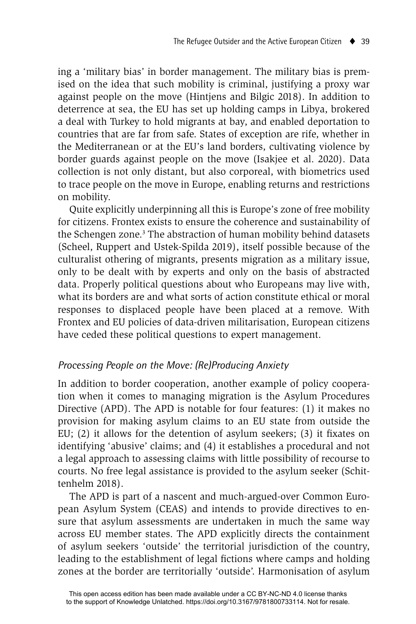ing a 'military bias' in border management. The military bias is premised on the idea that such mobility is criminal, justifying a proxy war against people on the move (Hintjens and Bilgic 2018). In addition to deterrence at sea, the EU has set up holding camps in Libya, brokered a deal with Turkey to hold migrants at bay, and enabled deportation to countries that are far from safe. States of exception are rife, whether in the Mediterranean or at the EU's land borders, cultivating violence by border guards against people on the move (Isakjee et al. 2020). Data collection is not only distant, but also corporeal, with biometrics used to trace people on the move in Europe, enabling returns and restrictions on mobility.

Quite explicitly underpinning all this is Europe's zone of free mobility for citizens. Frontex exists to ensure the coherence and sustainability of the Schengen zone.<sup>3</sup> The abstraction of human mobility behind datasets (Scheel, Ruppert and Ustek-Spilda 2019), itself possible because of the culturalist othering of migrants, presents migration as a military issue, only to be dealt with by experts and only on the basis of abstracted data. Properly political questions about who Europeans may live with, what its borders are and what sorts of action constitute ethical or moral responses to displaced people have been placed at a remove. With Frontex and EU policies of data-driven militarisation, European citizens have ceded these political questions to expert management.

#### *Processing People on the Move: (Re)Producing Anxiety*

In addition to border cooperation, another example of policy cooperation when it comes to managing migration is the Asylum Procedures Directive (APD). The APD is notable for four features: (1) it makes no provision for making asylum claims to an EU state from outside the EU;  $(2)$  it allows for the detention of asylum seekers;  $(3)$  it fixates on identifying 'abusive' claims; and (4) it establishes a procedural and not a legal approach to assessing claims with little possibility of recourse to courts. No free legal assistance is provided to the asylum seeker (Schittenhelm 2018).

The APD is part of a nascent and much-argued-over Common European Asylum System (CEAS) and intends to provide directives to ensure that asylum assessments are undertaken in much the same way across EU member states. The APD explicitly directs the containment of asylum seekers 'outside' the territorial jurisdiction of the country, leading to the establishment of legal fictions where camps and holding zones at the border are territorially 'outside'. Harmonisation of asylum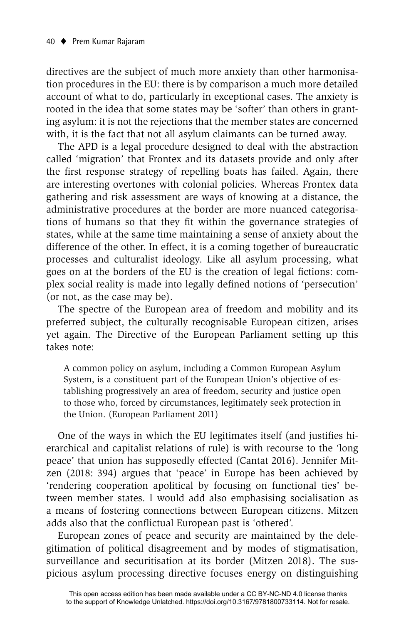directives are the subject of much more anxiety than other harmonisation procedures in the EU: there is by comparison a much more detailed account of what to do, particularly in exceptional cases. The anxiety is rooted in the idea that some states may be 'softer' than others in granting asylum: it is not the rejections that the member states are concerned with, it is the fact that not all asylum claimants can be turned away.

The APD is a legal procedure designed to deal with the abstraction called 'migration' that Frontex and its datasets provide and only after the first response strategy of repelling boats has failed. Again, there are interesting overtones with colonial policies. Whereas Frontex data gathering and risk assessment are ways of knowing at a distance, the administrative procedures at the border are more nuanced categorisations of humans so that they fit within the governance strategies of states, while at the same time maintaining a sense of anxiety about the difference of the other. In effect, it is a coming together of bureaucratic processes and culturalist ideology. Like all asylum processing, what goes on at the borders of the EU is the creation of legal fictions: complex social reality is made into legally defined notions of 'persecution' (or not, as the case may be).

The spectre of the European area of freedom and mobility and its preferred subject, the culturally recognisable European citizen, arises yet again. The Directive of the European Parliament setting up this takes note:

A common policy on asylum, including a Common European Asylum System, is a constituent part of the European Union's objective of establishing progressively an area of freedom, security and justice open to those who, forced by circumstances, legitimately seek protection in the Union. (European Parliament 2011)

One of the ways in which the EU legitimates itself (and justifies hierarchical and capitalist relations of rule) is with recourse to the 'long peace' that union has supposedly effected (Cantat 2016). Jennifer Mitzen (2018: 394) argues that 'peace' in Europe has been achieved by 'rendering cooperation apolitical by focusing on functional ties' between member states. I would add also emphasising socialisation as a means of fostering connections between European citizens. Mitzen adds also that the conflictual European past is 'othered'.

European zones of peace and security are maintained by the delegitimation of political disagreement and by modes of stigmatisation, surveillance and securitisation at its border (Mitzen 2018). The suspicious asylum processing directive focuses energy on distinguishing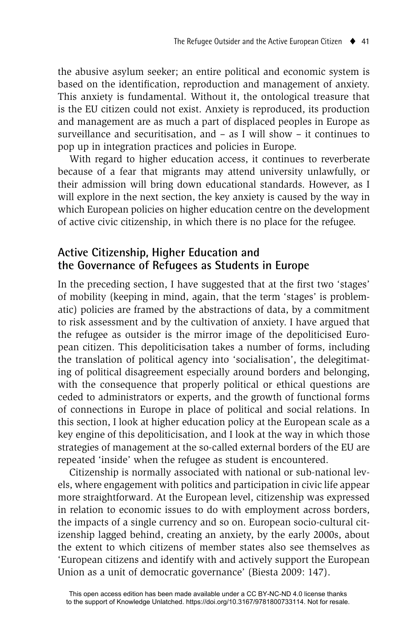the abusive asylum seeker; an entire political and economic system is based on the identification, reproduction and management of anxiety. This anxiety is fundamental. Without it, the ontological treasure that is the EU citizen could not exist. Anxiety is reproduced, its production and management are as much a part of displaced peoples in Europe as surveillance and securitisation, and – as I will show – it continues to pop up in integration practices and policies in Europe.

With regard to higher education access, it continues to reverberate because of a fear that migrants may attend university unlawfully, or their admission will bring down educational standards. However, as I will explore in the next section, the key anxiety is caused by the way in which European policies on higher education centre on the development of active civic citizenship, in which there is no place for the refugee.

# **Active Citizenship, Higher Education and the Governance of Refugees as Students in Europe**

In the preceding section, I have suggested that at the first two 'stages' of mobility (keeping in mind, again, that the term 'stages' is problematic) policies are framed by the abstractions of data, by a commitment to risk assessment and by the cultivation of anxiety. I have argued that the refugee as outsider is the mirror image of the depoliticised European citizen. This depoliticisation takes a number of forms, including the translation of political agency into 'socialisation', the delegitimating of political disagreement especially around borders and belonging, with the consequence that properly political or ethical questions are ceded to administrators or experts, and the growth of functional forms of connections in Europe in place of political and social relations. In this section, I look at higher education policy at the European scale as a key engine of this depoliticisation, and I look at the way in which those strategies of management at the so-called external borders of the EU are repeated 'inside' when the refugee as student is encountered.

Citizenship is normally associated with national or sub-national levels, where engagement with politics and participation in civic life appear more straightforward. At the European level, citizenship was expressed in relation to economic issues to do with employment across borders, the impacts of a single currency and so on. European socio-cultural citizenship lagged behind, creating an anxiety, by the early 2000s, about the extent to which citizens of member states also see themselves as 'European citizens and identify with and actively support the European Union as a unit of democratic governance' (Biesta 2009: 147).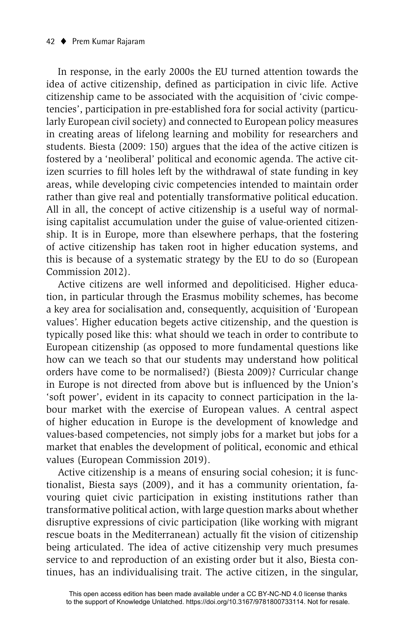In response, in the early 2000s the EU turned attention towards the idea of active citizenship, defined as participation in civic life. Active citizenship came to be associated with the acquisition of 'civic competencies', participation in pre-established fora for social activity (particularly European civil society) and connected to European policy measures in creating areas of lifelong learning and mobility for researchers and students. Biesta (2009: 150) argues that the idea of the active citizen is fostered by a 'neoliberal' political and economic agenda. The active citizen scurries to fill holes left by the withdrawal of state funding in key areas, while developing civic competencies intended to maintain order rather than give real and potentially transformative political education. All in all, the concept of active citizenship is a useful way of normalising capitalist accumulation under the guise of value-oriented citizenship. It is in Europe, more than elsewhere perhaps, that the fostering of active citizenship has taken root in higher education systems, and this is because of a systematic strategy by the EU to do so (European Commission 2012).

Active citizens are well informed and depoliticised. Higher education, in particular through the Erasmus mobility schemes, has become a key area for socialisation and, consequently, acquisition of 'European values'. Higher education begets active citizenship, and the question is typically posed like this: what should we teach in order to contribute to European citizenship (as opposed to more fundamental questions like how can we teach so that our students may understand how political orders have come to be normalised?) (Biesta 2009)? Curricular change in Europe is not directed from above but is influenced by the Union's 'soft power', evident in its capacity to connect participation in the labour market with the exercise of European values. A central aspect of higher education in Europe is the development of knowledge and values-based competencies, not simply jobs for a market but jobs for a market that enables the development of political, economic and ethical values (European Commission 2019).

Active citizenship is a means of ensuring social cohesion; it is functionalist, Biesta says (2009), and it has a community orientation, favouring quiet civic participation in existing institutions rather than transformative political action, with large question marks about whether disruptive expressions of civic participation (like working with migrant rescue boats in the Mediterranean) actually fit the vision of citizenship being articulated. The idea of active citizenship very much presumes service to and reproduction of an existing order but it also, Biesta continues, has an individualising trait. The active citizen, in the singular,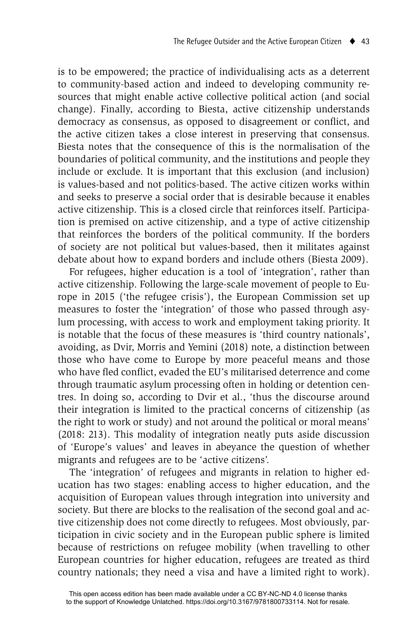is to be empowered; the practice of individualising acts as a deterrent to community-based action and indeed to developing community resources that might enable active collective political action (and social change). Finally, according to Biesta, active citizenship understands democracy as consensus, as opposed to disagreement or conflict, and the active citizen takes a close interest in preserving that consensus. Biesta notes that the consequence of this is the normalisation of the boundaries of political community, and the institutions and people they include or exclude. It is important that this exclusion (and inclusion) is values-based and not politics-based. The active citizen works within and seeks to preserve a social order that is desirable because it enables active citizenship. This is a closed circle that reinforces itself. Participation is premised on active citizenship, and a type of active citizenship that reinforces the borders of the political community. If the borders of society are not political but values-based, then it militates against debate about how to expand borders and include others (Biesta 2009).

For refugees, higher education is a tool of 'integration', rather than active citizenship. Following the large-scale movement of people to Europe in 2015 ('the refugee crisis'), the European Commission set up measures to foster the 'integration' of those who passed through asylum processing, with access to work and employment taking priority. It is notable that the focus of these measures is 'third country nationals', avoiding, as Dvir, Morris and Yemini (2018) note, a distinction between those who have come to Europe by more peaceful means and those who have fled conflict, evaded the EU's militarised deterrence and come through traumatic asylum processing often in holding or detention centres. In doing so, according to Dvir et al., 'thus the discourse around their integration is limited to the practical concerns of citizenship (as the right to work or study) and not around the political or moral means' (2018: 213). This modality of integration neatly puts aside discussion of 'Europe's values' and leaves in abeyance the question of whether migrants and refugees are to be 'active citizens'.

The 'integration' of refugees and migrants in relation to higher education has two stages: enabling access to higher education, and the acquisition of European values through integration into university and society. But there are blocks to the realisation of the second goal and active citizenship does not come directly to refugees. Most obviously, participation in civic society and in the European public sphere is limited because of restrictions on refugee mobility (when travelling to other European countries for higher education, refugees are treated as third country nationals; they need a visa and have a limited right to work).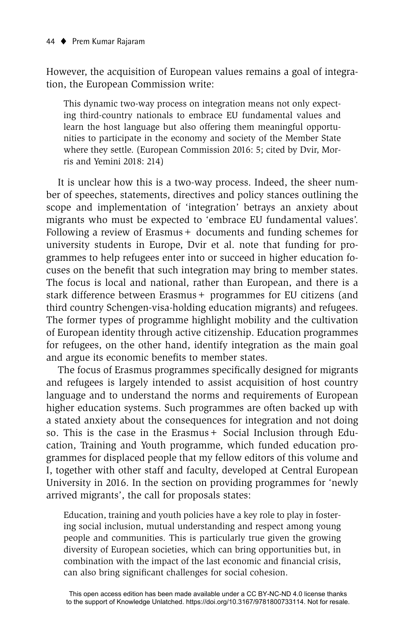However, the acquisition of European values remains a goal of integration, the European Commission write:

This dynamic two-way process on integration means not only expecting third-country nationals to embrace EU fundamental values and learn the host language but also offering them meaningful opportunities to participate in the economy and society of the Member State where they settle. (European Commission 2016: 5; cited by Dvir, Morris and Yemini 2018: 214)

It is unclear how this is a two-way process. Indeed, the sheer number of speeches, statements, directives and policy stances outlining the scope and implementation of 'integration' betrays an anxiety about migrants who must be expected to 'embrace EU fundamental values'. Following a review of Erasmus + documents and funding schemes for university students in Europe, Dvir et al. note that funding for programmes to help refugees enter into or succeed in higher education focuses on the benefit that such integration may bring to member states. The focus is local and national, rather than European, and there is a stark difference between Erasmus+ programmes for EU citizens (and third country Schengen-visa-holding education migrants) and refugees. The former types of programme highlight mobility and the cultivation of European identity through active citizenship. Education programmes for refugees, on the other hand, identify integration as the main goal and argue its economic benefits to member states.

The focus of Erasmus programmes specifically designed for migrants and refugees is largely intended to assist acquisition of host country language and to understand the norms and requirements of European higher education systems. Such programmes are often backed up with a stated anxiety about the consequences for integration and not doing so. This is the case in the Erasmus + Social Inclusion through Education, Training and Youth programme, which funded education programmes for displaced people that my fellow editors of this volume and I, together with other staff and faculty, developed at Central European University in 2016. In the section on providing programmes for 'newly arrived migrants', the call for proposals states:

Education, training and youth policies have a key role to play in fostering social inclusion, mutual understanding and respect among young people and communities. This is particularly true given the growing diversity of European societies, which can bring opportunities but, in combination with the impact of the last economic and financial crisis, can also bring significant challenges for social cohesion.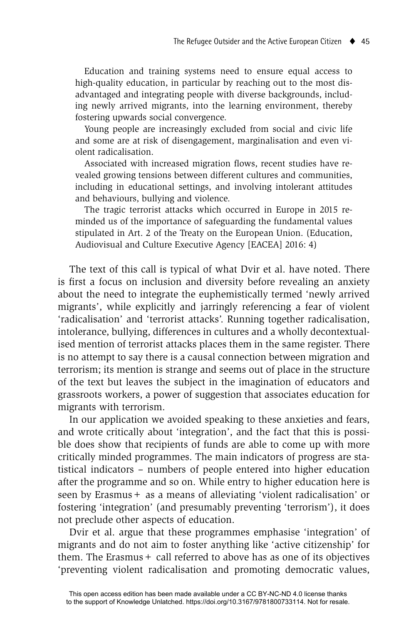Education and training systems need to ensure equal access to high-quality education, in particular by reaching out to the most disadvantaged and integrating people with diverse backgrounds, including newly arrived migrants, into the learning environment, thereby fostering upwards social convergence.

 Young people are increasingly excluded from social and civic life and some are at risk of disengagement, marginalisation and even violent radicalisation.

Associated with increased migration flows, recent studies have revealed growing tensions between different cultures and communities, including in educational settings, and involving intolerant attitudes and behaviours, bullying and violence.

 The tragic terrorist attacks which occurred in Europe in 2015 reminded us of the importance of safeguarding the fundamental values stipulated in Art. 2 of the Treaty on the European Union. (Education, Audiovisual and Culture Executive Agency [EACEA] 2016: 4)

The text of this call is typical of what Dvir et al. have noted. There is first a focus on inclusion and diversity before revealing an anxiety about the need to integrate the euphemistically termed 'newly arrived migrants', while explicitly and jarringly referencing a fear of violent 'radicalisation' and 'terrorist attacks'. Running together radicalisation, intolerance, bullying, differences in cultures and a wholly decontextualised mention of terrorist attacks places them in the same register. There is no attempt to say there is a causal connection between migration and terrorism; its mention is strange and seems out of place in the structure of the text but leaves the subject in the imagination of educators and grassroots workers, a power of suggestion that associates education for migrants with terrorism.

In our application we avoided speaking to these anxieties and fears, and wrote critically about 'integration', and the fact that this is possible does show that recipients of funds are able to come up with more critically minded programmes. The main indicators of progress are statistical indicators – numbers of people entered into higher education after the programme and so on. While entry to higher education here is seen by Erasmus + as a means of alleviating 'violent radicalisation' or fostering 'integration' (and presumably preventing 'terrorism'), it does not preclude other aspects of education.

Dvir et al. argue that these programmes emphasise 'integration' of migrants and do not aim to foster anything like 'active citizenship' for them. The Erasmus + call referred to above has as one of its objectives 'preventing violent radicalisation and promoting democratic values,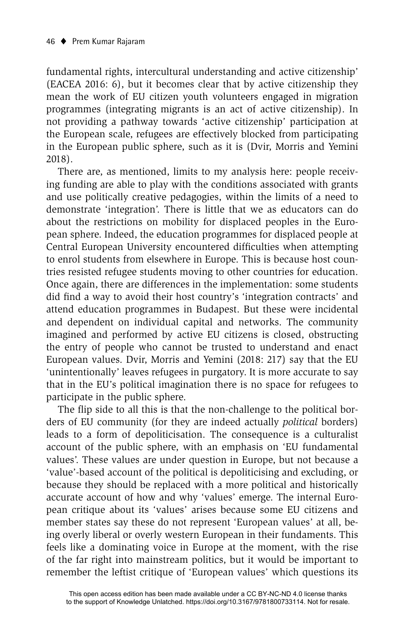fundamental rights, intercultural understanding and active citizenship' (EACEA 2016: 6), but it becomes clear that by active citizenship they mean the work of EU citizen youth volunteers engaged in migration programmes (integrating migrants is an act of active citizenship). In not providing a pathway towards 'active citizenship' participation at the European scale, refugees are effectively blocked from participating in the European public sphere, such as it is (Dvir, Morris and Yemini 2018).

There are, as mentioned, limits to my analysis here: people receiving funding are able to play with the conditions associated with grants and use politically creative pedagogies, within the limits of a need to demonstrate 'integration'. There is little that we as educators can do about the restrictions on mobility for displaced peoples in the European sphere. Indeed, the education programmes for displaced people at Central European University encountered difficulties when attempting to enrol students from elsewhere in Europe. This is because host countries resisted refugee students moving to other countries for education. Once again, there are differences in the implementation: some students did find a way to avoid their host country's 'integration contracts' and attend education programmes in Budapest. But these were incidental and dependent on individual capital and networks. The community imagined and performed by active EU citizens is closed, obstructing the entry of people who cannot be trusted to understand and enact European values. Dvir, Morris and Yemini (2018: 217) say that the EU 'unintentionally' leaves refugees in purgatory. It is more accurate to say that in the EU's political imagination there is no space for refugees to participate in the public sphere.

The flip side to all this is that the non-challenge to the political borders of EU community (for they are indeed actually *political* borders) leads to a form of depoliticisation. The consequence is a culturalist account of the public sphere, with an emphasis on 'EU fundamental values'. These values are under question in Europe, but not because a 'value'-based account of the political is depoliticising and excluding, or because they should be replaced with a more political and historically accurate account of how and why 'values' emerge. The internal European critique about its 'values' arises because some EU citizens and member states say these do not represent 'European values' at all, being overly liberal or overly western European in their fundaments. This feels like a dominating voice in Europe at the moment, with the rise of the far right into mainstream politics, but it would be important to remember the leftist critique of 'European values' which questions its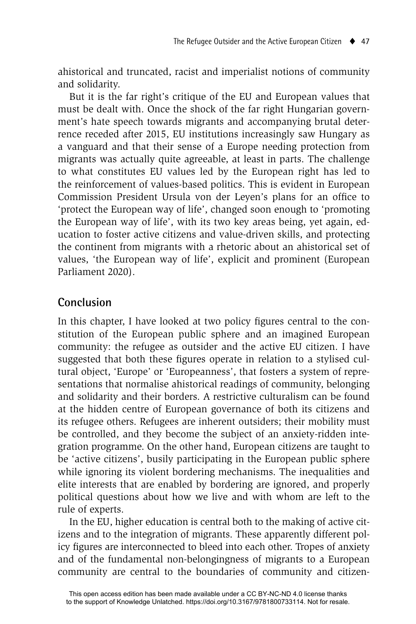ahistorical and truncated, racist and imperialist notions of community and solidarity.

But it is the far right's critique of the EU and European values that must be dealt with. Once the shock of the far right Hungarian government's hate speech towards migrants and accompanying brutal deterrence receded after 2015, EU institutions increasingly saw Hungary as a vanguard and that their sense of a Europe needing protection from migrants was actually quite agreeable, at least in parts. The challenge to what constitutes EU values led by the European right has led to the reinforcement of values-based politics. This is evident in European Commission President Ursula von der Leyen's plans for an office to 'protect the European way of life', changed soon enough to 'promoting the European way of life', with its two key areas being, yet again, education to foster active citizens and value-driven skills, and protecting the continent from migrants with a rhetoric about an ahistorical set of values, 'the European way of life', explicit and prominent (European Parliament 2020).

# **Conclusion**

In this chapter, I have looked at two policy figures central to the constitution of the European public sphere and an imagined European community: the refugee as outsider and the active EU citizen. I have suggested that both these figures operate in relation to a stylised cultural object, 'Europe' or 'Europeanness', that fosters a system of representations that normalise ahistorical readings of community, belonging and solidarity and their borders. A restrictive culturalism can be found at the hidden centre of European governance of both its citizens and its refugee others. Refugees are inherent outsiders; their mobility must be controlled, and they become the subject of an anxiety-ridden integration programme. On the other hand, European citizens are taught to be 'active citizens', busily participating in the European public sphere while ignoring its violent bordering mechanisms. The inequalities and elite interests that are enabled by bordering are ignored, and properly political questions about how we live and with whom are left to the rule of experts.

In the EU, higher education is central both to the making of active citizens and to the integration of migrants. These apparently different policy figures are interconnected to bleed into each other. Tropes of anxiety and of the fundamental non-belongingness of migrants to a European community are central to the boundaries of community and citizen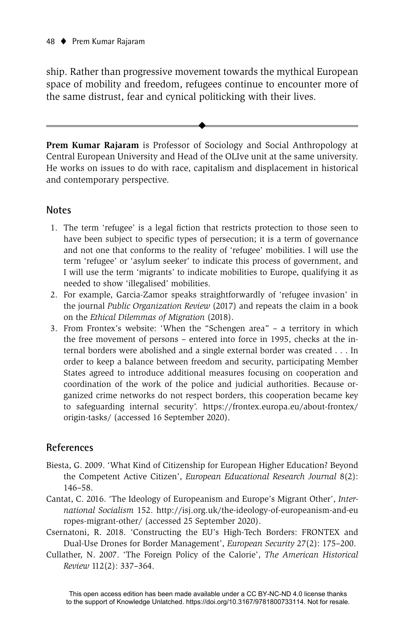ship. Rather than progressive movement towards the mythical European space of mobility and freedom, refugees continue to encounter more of the same distrust, fear and cynical politicking with their lives.

**Prem Kumar Rajaram** is Professor of Sociology and Social Anthropology at Central European University and Head of the OLIve unit at the same university. He works on issues to do with race, capitalism and displacement in historical and contemporary perspective.

 $\ddot{\bullet}$ 

#### **Notes**

- 1. The term 'refugee' is a legal fiction that restricts protection to those seen to have been subject to specific types of persecution; it is a term of governance and not one that conforms to the reality of 'refugee' mobilities. I will use the term 'refugee' or 'asylum seeker' to indicate this process of government, and I will use the term 'migrants' to indicate mobilities to Europe, qualifying it as needed to show 'illegalised' mobilities.
- 2. For example, Garcia-Zamor speaks straightforwardly of 'refugee invasion' in the journal *Public Organization Review* (2017) and repeats the claim in a book on the *Ethical Dilemmas of Migration* (2018).
- 3. From Frontex's website: 'When the "Schengen area" a territory in which the free movement of persons – entered into force in 1995, checks at the internal borders were abolished and a single external border was created . . . In order to keep a balance between freedom and security, participating Member States agreed to introduce additional measures focusing on cooperation and coordination of the work of the police and judicial authorities. Because organized crime networks do not respect borders, this cooperation became key to safeguarding internal security'. https://frontex.europa.eu/about-frontex/ origin-tasks/ (accessed 16 September 2020).

### **References**

- Biesta, G. 2009. 'What Kind of Citizenship for European Higher Education? Beyond the Competent Active Citizen', *European Educational Research Journal* 8(2): 146–58.
- Cantat, C. 2016. 'The Ideology of Europeanism and Europe's Migrant Other', *International Socialism* 152. http://isj.org.uk/the-ideology-of-europeanism-and-eu ropes-migrant-other/ (accessed 25 September 2020).
- Csernatoni, R. 2018. 'Constructing the EU's High-Tech Borders: FRONTEX and Dual-Use Drones for Border Management', *European Security* 27(2): 175–200.
- Cullather, N. 2007. 'The Foreign Policy of the Calorie', *The American Historical Review* 112(2): 337–364.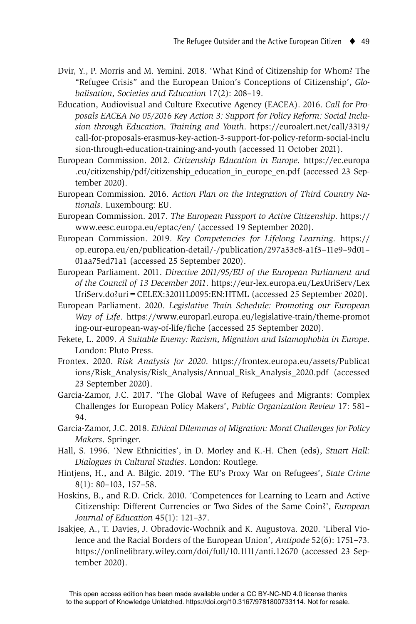- Dvir, Y., P. Morris and M. Yemini. 2018. 'What Kind of Citizenship for Whom? The "Refugee Crisis" and the European Union's Conceptions of Citizenship', *Globalisation, Societies and Education* 17(2): 208–19.
- Education, Audiovisual and Culture Executive Agency (EACEA). 2016. *Call for Proposals EACEA No 05/2016 Key Action 3: Support for Policy Reform: Social Inclusion through Education, Training and Youth*. https://euroalert.net/call/3319/ call-for-proposals-erasmus-key-action-3-support-for-policy-reform-social-inclu sion-through-education-training-and-youth (accessed 11 October 2021).
- European Commission. 2012. *Citizenship Education in Europe*. https://ec.europa .eu/citizenship/pdf/citizenship\_education\_in\_europe\_en.pdf (accessed 23 September 2020).
- European Commission. 2016. *Action Plan on the Integration of Third Country Nationals*. Luxembourg: EU.
- European Commission. 2017. *The European Passport to Active Citizenship*. https:// www.eesc.europa.eu/eptac/en/ (accessed 19 September 2020).
- European Commission. 2019. *Key Competencies for Lifelong Learning*. https:// op.europa.eu/en/publication-detail/-/publication/297a33c8-a1f3–11e9–9d01– 01aa75ed71a1 (accessed 25 September 2020).
- European Parliament. 2011. *Directive 2011/95/EU of the European Parliament and of the Council of 13 December 2011*. https://eur-lex.europa.eu/LexUriServ/Lex UriServ.do?uri=CELEX:32011L0095:EN:HTML (accessed 25 September 2020).
- European Parliament. 2020. *Legislative Train Schedule: Promoting our European Way of Life*. https://www.europarl.europa.eu/legislative-train/theme-promot ing-our-european-way-of-life/fiche (accessed 25 September 2020).
- Fekete, L. 2009. *A Suitable Enemy: Racism, Migration and Islamophobia in Europe*. London: Pluto Press.
- Frontex. 2020. *Risk Analysis for 2020*. https://frontex.europa.eu/assets/Publicat ions/Risk\_Analysis/Risk\_Analysis/Annual\_Risk\_Analysis\_2020.pdf (accessed 23 September 2020).
- Garcia-Zamor, J.C. 2017. 'The Global Wave of Refugees and Migrants: Complex Challenges for European Policy Makers', *Public Organization Review* 17: 581– 94.
- Garcia-Zamor, J.C. 2018. *Ethical Dilemmas of Migration: Moral Challenges for Policy Makers*. Springer.
- Hall, S. 1996. 'New Ethnicities', in D. Morley and K.-H. Chen (eds), *Stuart Hall: Dialogues in Cultural Studies*. London: Routlege.
- Hintjens, H., and A. Bilgic. 2019. 'The EU's Proxy War on Refugees', *State Crime* 8(1): 80–103, 157–58.
- Hoskins, B., and R.D. Crick. 2010. 'Competences for Learning to Learn and Active Citizenship: Different Currencies or Two Sides of the Same Coin?', *European Journal of Education* 45(1): 121–37.
- Isakjee, A., T. Davies, J. Obradovic-Wochnik and K. Augustova. 2020. 'Liberal Violence and the Racial Borders of the European Union', *Antipode* 52(6): 1751–73*.*  https://onlinelibrary.wiley.com/doi/full/10.1111/anti.12670 (accessed 23 September 2020).